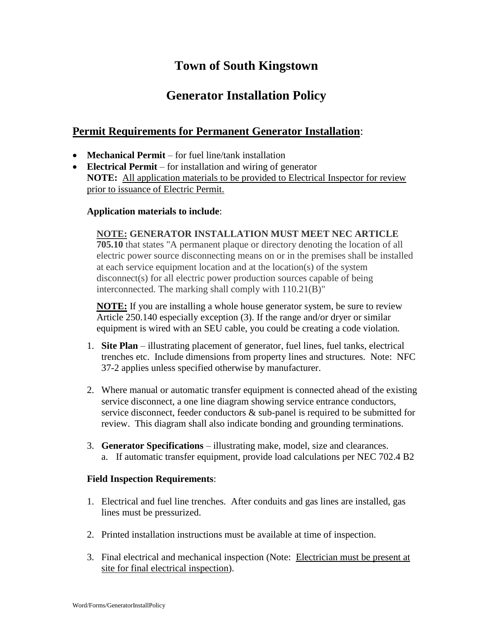# **Town of South Kingstown**

## **Generator Installation Policy**

### **Permit Requirements for Permanent Generator Installation**:

- **Mechanical Permit** for fuel line/tank installation
- **Electrical Permit** for installation and wiring of generator **NOTE:** All application materials to be provided to Electrical Inspector for review prior to issuance of Electric Permit.

#### **Application materials to include**:

#### **NOTE: GENERATOR INSTALLATION MUST MEET NEC ARTICLE**

**705.10** that states "A permanent plaque or directory denoting the location of all electric power source disconnecting means on or in the premises shall be installed at each service equipment location and at the location(s) of the system disconnect(s) for all electric power production sources capable of being interconnected. The marking shall comply with 110.21(B)"

**NOTE:** If you are installing a whole house generator system, be sure to review Article 250.140 especially exception (3). If the range and/or dryer or similar equipment is wired with an SEU cable, you could be creating a code violation*.*

- 1. **Site Plan** illustrating placement of generator, fuel lines, fuel tanks, electrical trenches etc. Include dimensions from property lines and structures. Note: NFC 37-2 applies unless specified otherwise by manufacturer.
- 2. Where manual or automatic transfer equipment is connected ahead of the existing service disconnect, a one line diagram showing service entrance conductors, service disconnect, feeder conductors & sub-panel is required to be submitted for review. This diagram shall also indicate bonding and grounding terminations.
- 3. **Generator Specifications** illustrating make, model, size and clearances. a. If automatic transfer equipment, provide load calculations per NEC 702.4 B2

#### **Field Inspection Requirements**:

- 1. Electrical and fuel line trenches. After conduits and gas lines are installed, gas lines must be pressurized.
- 2. Printed installation instructions must be available at time of inspection.
- 3. Final electrical and mechanical inspection (Note: Electrician must be present at site for final electrical inspection).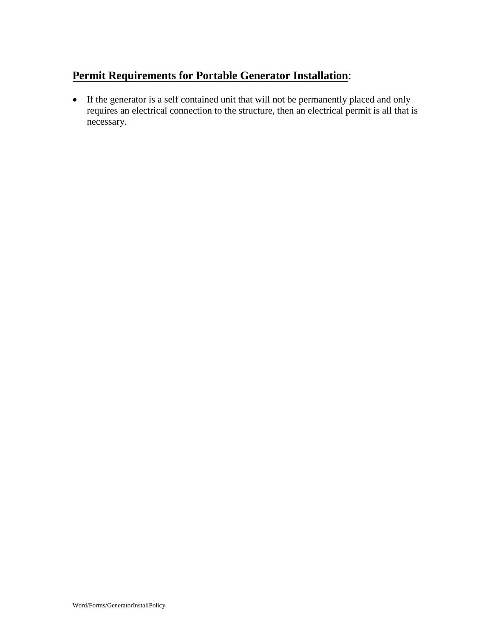## **Permit Requirements for Portable Generator Installation**:

 If the generator is a self contained unit that will not be permanently placed and only requires an electrical connection to the structure, then an electrical permit is all that is necessary.